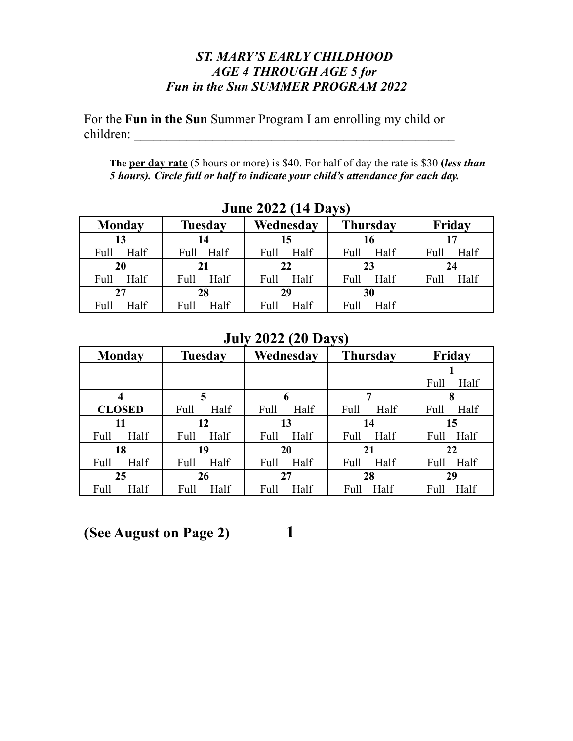## *ST. MARY'S EARLY CHILDHOOD AGE 4 THROUGH AGE 5 for Fun in the Sun SUMMER PROGRAM 2022*

For the **Fun in the Sun** Summer Program I am enrolling my child or children: \_\_\_\_\_\_\_\_\_\_\_\_\_\_\_\_\_\_\_\_\_\_\_\_\_\_\_\_\_\_\_\_\_\_\_\_\_\_\_\_\_\_\_\_\_\_\_\_\_

**The per day rate** (5 hours or more) is \$40. For half of day the rate is \$30 **(***less than 5 hours). Circle full or half to indicate your child's attendance for each day.*

| JUIIL <i>EVEE</i> (17 DAYS) |                |              |                 |              |  |
|-----------------------------|----------------|--------------|-----------------|--------------|--|
| <b>Monday</b>               | <b>Tuesday</b> | Wednesday    | <b>Thursday</b> | Friday       |  |
| 13                          | 14             | 15           | 16              |              |  |
| Half<br>Full                | Full Half      | Half<br>Full | Half<br>Full    | Half<br>Full |  |
| 20                          | 21             | 22           | 23              | 24           |  |
| Half<br>Full                | Half<br>Full   | Half<br>Full | Half<br>Full    | Half<br>Full |  |
| 27                          | 28             | 29           | 30              |              |  |
| Half<br>Full                | Half<br>Full   | Half<br>Full | Half<br>Full    |              |  |

**June 2022 (14 Days)**

## **July 2022 (20 Days)**

| <b>Monday</b> | <b>Tuesday</b> |      |      | Wednesday | <b>Thursday</b> |      | Friday |      |
|---------------|----------------|------|------|-----------|-----------------|------|--------|------|
|               |                |      |      |           |                 |      |        |      |
|               |                |      |      |           |                 |      | Full   | Half |
| 4             |                | 5    |      | 6         | 7               |      | 8      |      |
| <b>CLOSED</b> | Full           | Half | Full | Half      | Full            | Half | Full   | Half |
| 11            |                | 12   |      | 13        | 14              |      |        | 15   |
| Half<br>Full  | Full           | Half | Full | Half      | Full            | Half | Full   | Half |
| 18            | 19             |      | 20   |           | 21              |      | 22     |      |
| Half<br>Full  | Full           | Half | Full | Half      | Full            | Half | Full   | Half |
| 25            |                | 26   |      | 27        | 28              |      | 29     |      |
| Full<br>Half  | Full           | Half | Full | Half      | Full            | Half | Full   | Half |

## **(See August on Page 2) 1**